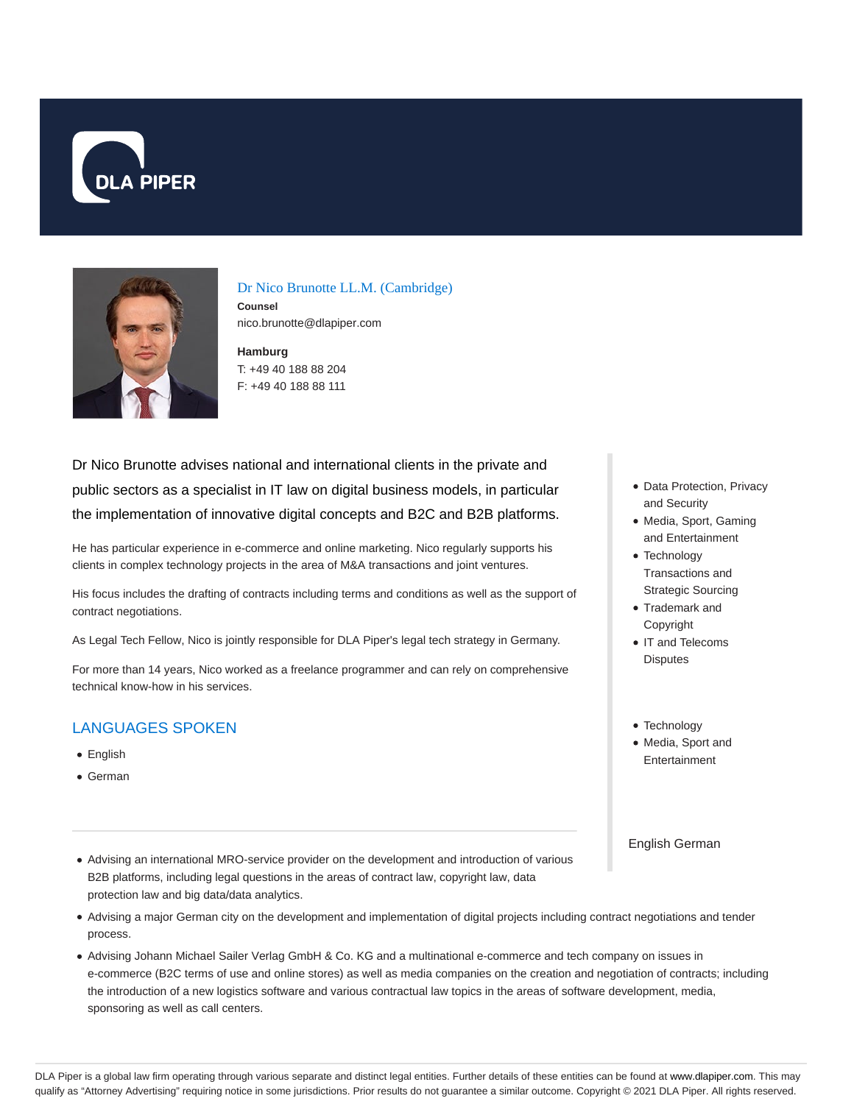



Dr Nico Brunotte LL.M. (Cambridge) **Counsel**

nico.brunotte@dlapiper.com

**Hamburg** T: +49 40 188 88 204 F: +49 40 188 88 111

Dr Nico Brunotte advises national and international clients in the private and public sectors as a specialist in IT law on digital business models, in particular the implementation of innovative digital concepts and B2C and B2B platforms.

He has particular experience in e-commerce and online marketing. Nico regularly supports his clients in complex technology projects in the area of M&A transactions and joint ventures.

His focus includes the drafting of contracts including terms and conditions as well as the support of contract negotiations.

As Legal Tech Fellow, Nico is jointly responsible for DLA Piper's legal tech strategy in Germany.

For more than 14 years, Nico worked as a freelance programmer and can rely on comprehensive technical know-how in his services.

# LANGUAGES SPOKEN

- English
- German
- Advising an international MRO-service provider on the development and introduction of various B2B platforms, including legal questions in the areas of contract law, copyright law, data protection law and big data/data analytics.
- Advising a major German city on the development and implementation of digital projects including contract negotiations and tender process.
- Advising Johann Michael Sailer Verlag GmbH & Co. KG and a multinational e-commerce and tech company on issues in e-commerce (B2C terms of use and online stores) as well as media companies on the creation and negotiation of contracts; including the introduction of a new logistics software and various contractual law topics in the areas of software development, media, sponsoring as well as call centers.
- Data Protection, Privacy and Security
- Media, Sport, Gaming and Entertainment
- Technology Transactions and Strategic Sourcing
- Trademark and Copyright
- IT and Telecoms **Disputes**
- Technology
- Media, Sport and Entertainment

English German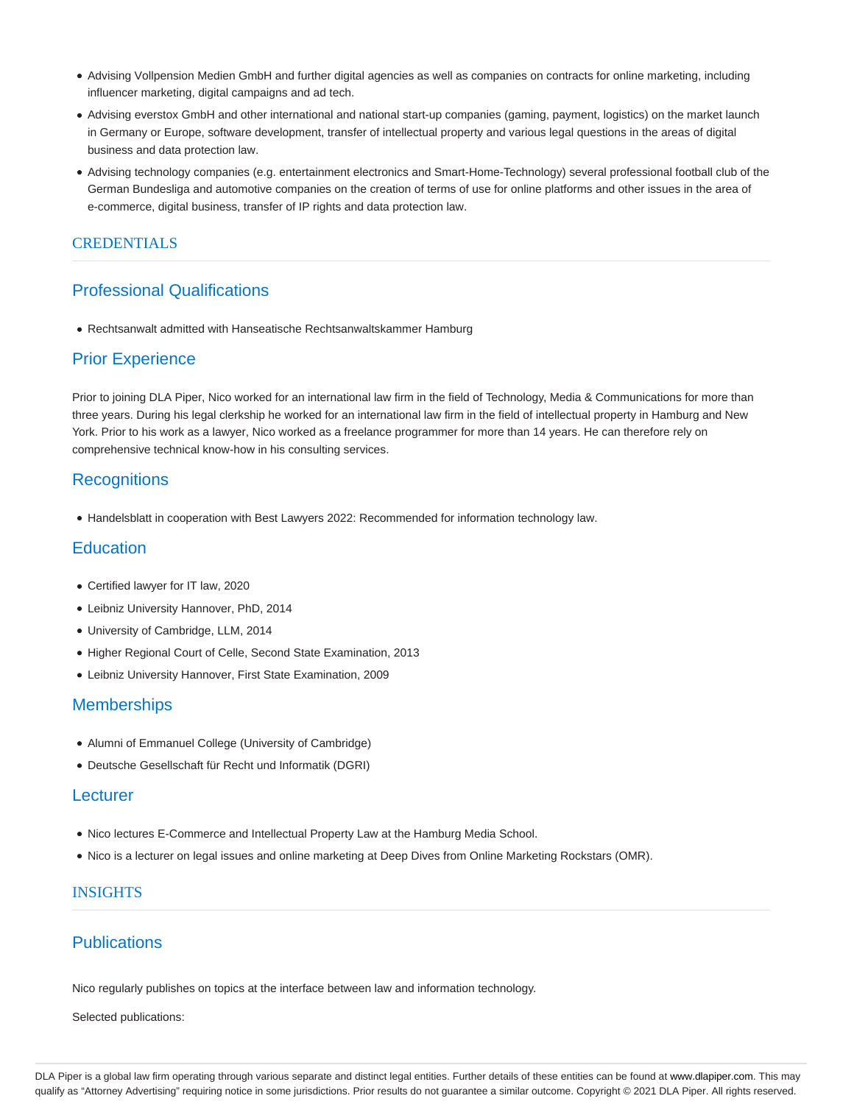- Advising Vollpension Medien GmbH and further digital agencies as well as companies on contracts for online marketing, including influencer marketing, digital campaigns and ad tech.
- Advising everstox GmbH and other international and national start-up companies (gaming, payment, logistics) on the market launch in Germany or Europe, software development, transfer of intellectual property and various legal questions in the areas of digital business and data protection law.
- Advising technology companies (e.g. entertainment electronics and Smart-Home-Technology) several professional football club of the German Bundesliga and automotive companies on the creation of terms of use for online platforms and other issues in the area of e-commerce, digital business, transfer of IP rights and data protection law.

## CREDENTIALS

# Professional Qualifications

Rechtsanwalt admitted with Hanseatische Rechtsanwaltskammer Hamburg

# Prior Experience

Prior to joining DLA Piper, Nico worked for an international law firm in the field of Technology, Media & Communications for more than three years. During his legal clerkship he worked for an international law firm in the field of intellectual property in Hamburg and New York. Prior to his work as a lawyer, Nico worked as a freelance programmer for more than 14 years. He can therefore rely on comprehensive technical know-how in his consulting services.

# **Recognitions**

• Handelsblatt in cooperation with Best Lawyers 2022: Recommended for information technology law.

## **Education**

- Certified lawyer for IT law, 2020
- Leibniz University Hannover, PhD, 2014
- University of Cambridge, LLM, 2014
- Higher Regional Court of Celle, Second State Examination, 2013
- Leibniz University Hannover, First State Examination, 2009

# **Memberships**

- Alumni of Emmanuel College (University of Cambridge)
- Deutsche Gesellschaft für Recht und Informatik (DGRI)

## Lecturer

- Nico lectures E-Commerce and Intellectual Property Law at the Hamburg Media School.
- Nico is a lecturer on legal issues and online marketing at Deep Dives from Online Marketing Rockstars (OMR).

## INSIGHTS

# **Publications**

Nico regularly publishes on topics at the interface between law and information technology.

Selected publications: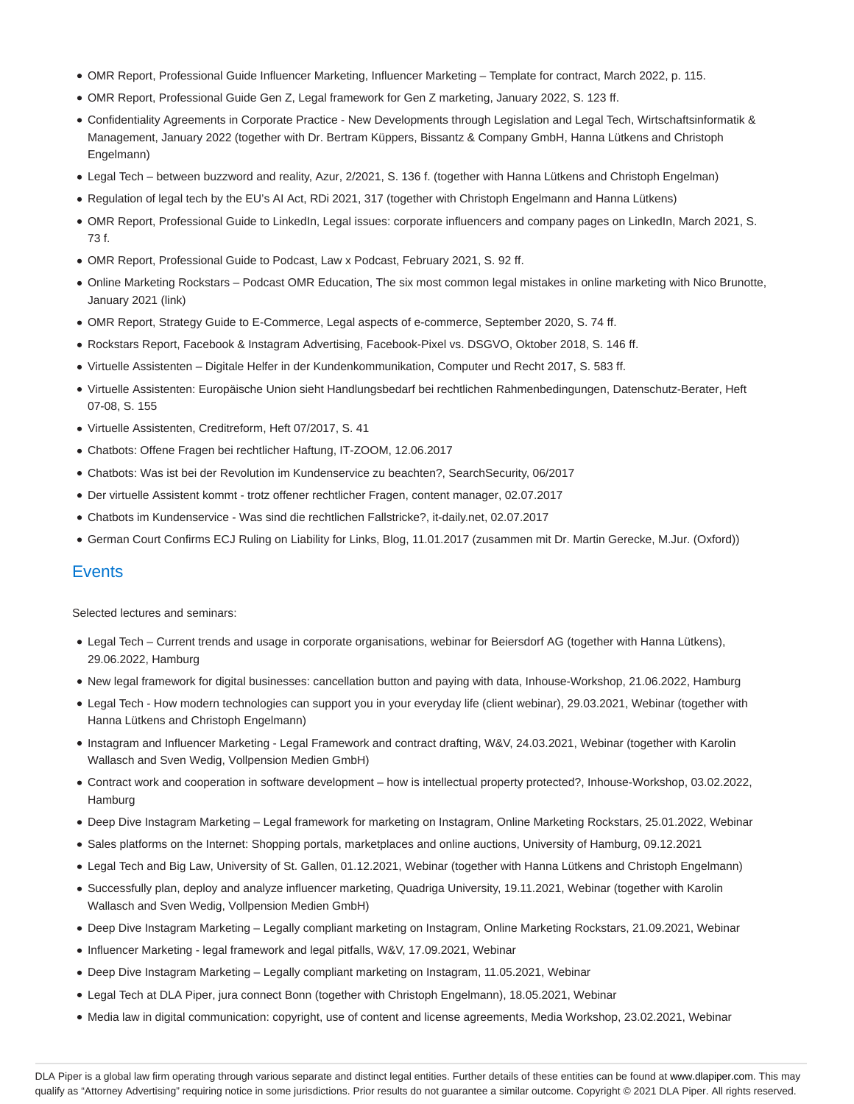- OMR Report, Professional Guide Influencer Marketing, Influencer Marketing Template for contract, March 2022, p. 115.
- OMR Report, Professional Guide Gen Z, Legal framework for Gen Z marketing, January 2022, S. 123 ff.
- Confidentiality Agreements in Corporate Practice New Developments through Legislation and Legal Tech, Wirtschaftsinformatik & Management, January 2022 (together with Dr. Bertram Küppers, Bissantz & Company GmbH, Hanna Lütkens and Christoph Engelmann)
- Legal Tech between buzzword and reality, Azur, 2/2021, S. 136 f. (together with Hanna Lütkens and Christoph Engelman)
- Regulation of legal tech by the EU's AI Act, RDi 2021, 317 (together with Christoph Engelmann and Hanna Lütkens)
- OMR Report, Professional Guide to LinkedIn, Legal issues: corporate influencers and company pages on LinkedIn, March 2021, S. 73 f.
- OMR Report, Professional Guide to Podcast, Law x Podcast, February 2021, S. 92 ff.
- Online Marketing Rockstars Podcast OMR Education, The six most common legal mistakes in online marketing with Nico Brunotte, January 2021 (link)
- OMR Report, Strategy Guide to E-Commerce, Legal aspects of e-commerce, September 2020, S. 74 ff.
- Rockstars Report, Facebook & Instagram Advertising, Facebook-Pixel vs. DSGVO, Oktober 2018, S. 146 ff.
- Virtuelle Assistenten Digitale Helfer in der Kundenkommunikation, Computer und Recht 2017, S. 583 ff.
- Virtuelle Assistenten: Europäische Union sieht Handlungsbedarf bei rechtlichen Rahmenbedingungen, Datenschutz-Berater, Heft 07-08, S. 155
- Virtuelle Assistenten, Creditreform, Heft 07/2017, S. 41
- Chatbots: Offene Fragen bei rechtlicher Haftung, IT-ZOOM, 12.06.2017
- Chatbots: Was ist bei der Revolution im Kundenservice zu beachten?, SearchSecurity, 06/2017
- Der virtuelle Assistent kommt trotz offener rechtlicher Fragen, content manager, 02.07.2017
- Chatbots im Kundenservice Was sind die rechtlichen Fallstricke?, it-daily.net, 02.07.2017
- German Court Confirms ECJ Ruling on Liability for Links, Blog, 11.01.2017 (zusammen mit Dr. Martin Gerecke, M.Jur. (Oxford))

### **Events**

Selected lectures and seminars:

- Legal Tech Current trends and usage in corporate organisations, webinar for Beiersdorf AG (together with Hanna Lütkens), 29.06.2022, Hamburg
- New legal framework for digital businesses: cancellation button and paying with data, Inhouse-Workshop, 21.06.2022, Hamburg
- Legal Tech How modern technologies can support you in your everyday life (client webinar), 29.03.2021, Webinar (together with Hanna Lütkens and Christoph Engelmann)
- Instagram and Influencer Marketing Legal Framework and contract drafting, W&V, 24.03.2021, Webinar (together with Karolin Wallasch and Sven Wedig, Vollpension Medien GmbH)
- Contract work and cooperation in software development how is intellectual property protected?, Inhouse-Workshop, 03.02.2022, Hamburg
- Deep Dive Instagram Marketing Legal framework for marketing on Instagram, Online Marketing Rockstars, 25.01.2022, Webinar
- Sales platforms on the Internet: Shopping portals, marketplaces and online auctions, University of Hamburg, 09.12.2021
- Legal Tech and Big Law, University of St. Gallen, 01.12.2021, Webinar (together with Hanna Lütkens and Christoph Engelmann)
- Successfully plan, deploy and analyze influencer marketing, Quadriga University, 19.11.2021, Webinar (together with Karolin Wallasch and Sven Wedig, Vollpension Medien GmbH)
- Deep Dive Instagram Marketing Legally compliant marketing on Instagram, Online Marketing Rockstars, 21.09.2021, Webinar
- Influencer Marketing legal framework and legal pitfalls, W&V, 17.09.2021, Webinar
- Deep Dive Instagram Marketing Legally compliant marketing on Instagram, 11.05.2021, Webinar
- Legal Tech at DLA Piper, jura connect Bonn (together with Christoph Engelmann), 18.05.2021, Webinar
- Media law in digital communication: copyright, use of content and license agreements, Media Workshop, 23.02.2021, Webinar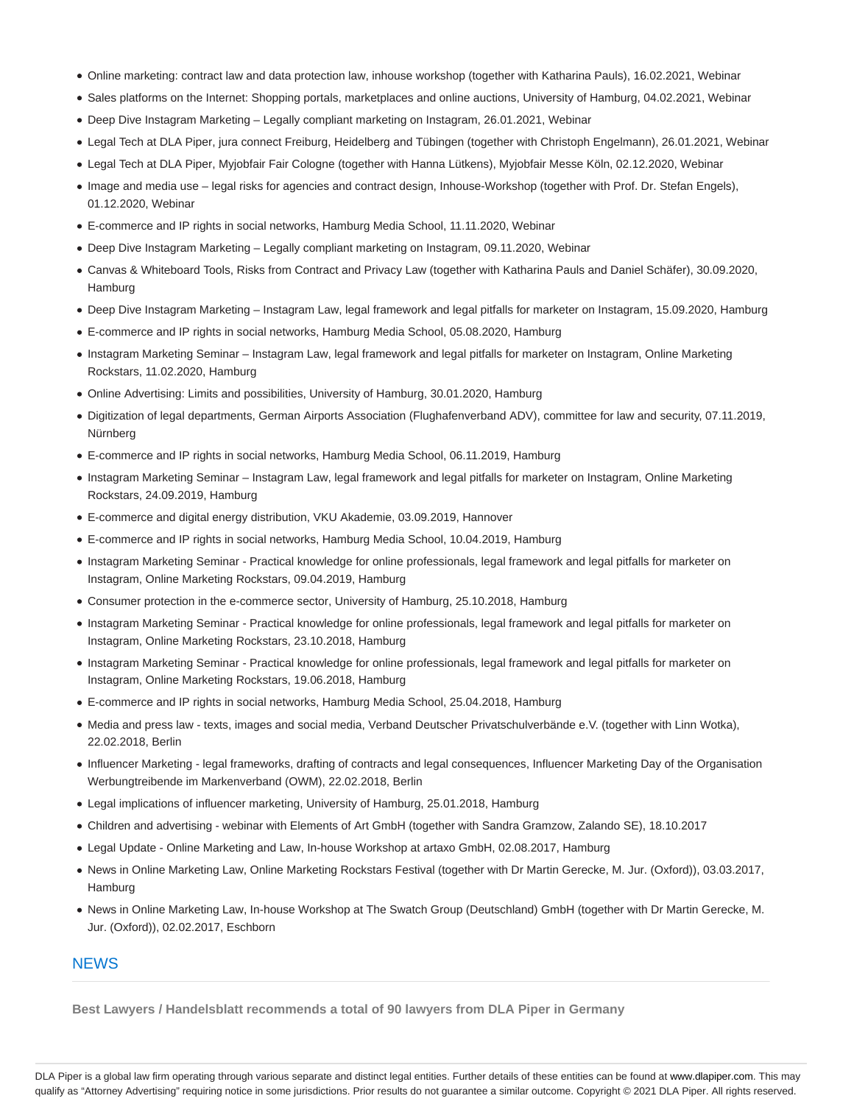- Online marketing: contract law and data protection law, inhouse workshop (together with Katharina Pauls), 16.02.2021, Webinar
- Sales platforms on the Internet: Shopping portals, marketplaces and online auctions, University of Hamburg, 04.02.2021, Webinar
- Deep Dive Instagram Marketing Legally compliant marketing on Instagram, 26.01.2021, Webinar
- Legal Tech at DLA Piper, jura connect Freiburg, Heidelberg and Tübingen (together with Christoph Engelmann), 26.01.2021, Webinar
- Legal Tech at DLA Piper, Myjobfair Fair Cologne (together with Hanna Lütkens), Myjobfair Messe Köln, 02.12.2020, Webinar
- Image and media use legal risks for agencies and contract design, Inhouse-Workshop (together with Prof. Dr. Stefan Engels), 01.12.2020, Webinar
- E-commerce and IP rights in social networks, Hamburg Media School, 11.11.2020, Webinar
- Deep Dive Instagram Marketing Legally compliant marketing on Instagram, 09.11.2020, Webinar
- Canvas & Whiteboard Tools, Risks from Contract and Privacy Law (together with Katharina Pauls and Daniel Schäfer), 30.09.2020, Hamburg
- Deep Dive Instagram Marketing Instagram Law, legal framework and legal pitfalls for marketer on Instagram, 15.09.2020, Hamburg
- E-commerce and IP rights in social networks, Hamburg Media School, 05.08.2020, Hamburg
- Instagram Marketing Seminar Instagram Law, legal framework and legal pitfalls for marketer on Instagram, Online Marketing Rockstars, 11.02.2020, Hamburg
- Online Advertising: Limits and possibilities, University of Hamburg, 30.01.2020, Hamburg
- Digitization of legal departments, German Airports Association (Flughafenverband ADV), committee for law and security, 07.11.2019, Nürnberg
- E-commerce and IP rights in social networks, Hamburg Media School, 06.11.2019, Hamburg
- Instagram Marketing Seminar Instagram Law, legal framework and legal pitfalls for marketer on Instagram, Online Marketing Rockstars, 24.09.2019, Hamburg
- E-commerce and digital energy distribution, VKU Akademie, 03.09.2019, Hannover
- E-commerce and IP rights in social networks, Hamburg Media School, 10.04.2019, Hamburg
- Instagram Marketing Seminar Practical knowledge for online professionals, legal framework and legal pitfalls for marketer on Instagram, Online Marketing Rockstars, 09.04.2019, Hamburg
- Consumer protection in the e-commerce sector, University of Hamburg, 25.10.2018, Hamburg
- Instagram Marketing Seminar Practical knowledge for online professionals, legal framework and legal pitfalls for marketer on Instagram, Online Marketing Rockstars, 23.10.2018, Hamburg
- Instagram Marketing Seminar Practical knowledge for online professionals, legal framework and legal pitfalls for marketer on Instagram, Online Marketing Rockstars, 19.06.2018, Hamburg
- E-commerce and IP rights in social networks, Hamburg Media School, 25.04.2018, Hamburg
- Media and press law texts, images and social media, Verband Deutscher Privatschulverbände e.V. (together with Linn Wotka), 22.02.2018, Berlin
- Influencer Marketing legal frameworks, drafting of contracts and legal consequences, Influencer Marketing Day of the Organisation Werbungtreibende im Markenverband (OWM), 22.02.2018, Berlin
- Legal implications of influencer marketing, University of Hamburg, 25.01.2018, Hamburg
- Children and advertising webinar with Elements of Art GmbH (together with Sandra Gramzow, Zalando SE), 18.10.2017
- Legal Update Online Marketing and Law, In-house Workshop at artaxo GmbH, 02.08.2017, Hamburg
- News in Online Marketing Law, Online Marketing Rockstars Festival (together with Dr Martin Gerecke, M. Jur. (Oxford)), 03.03.2017, Hamburg
- News in Online Marketing Law, In-house Workshop at The Swatch Group (Deutschland) GmbH (together with Dr Martin Gerecke, M. Jur. (Oxford)), 02.02.2017, Eschborn

### **NEWS**

**Best Lawyers / Handelsblatt recommends a total of 90 lawyers from DLA Piper in Germany**

DLA Piper is a global law firm operating through various separate and distinct legal entities. Further details of these entities can be found at www.dlapiper.com. This may qualify as "Attorney Advertising" requiring notice in some jurisdictions. Prior results do not guarantee a similar outcome. Copyright @ 2021 DLA Piper. All rights reserved.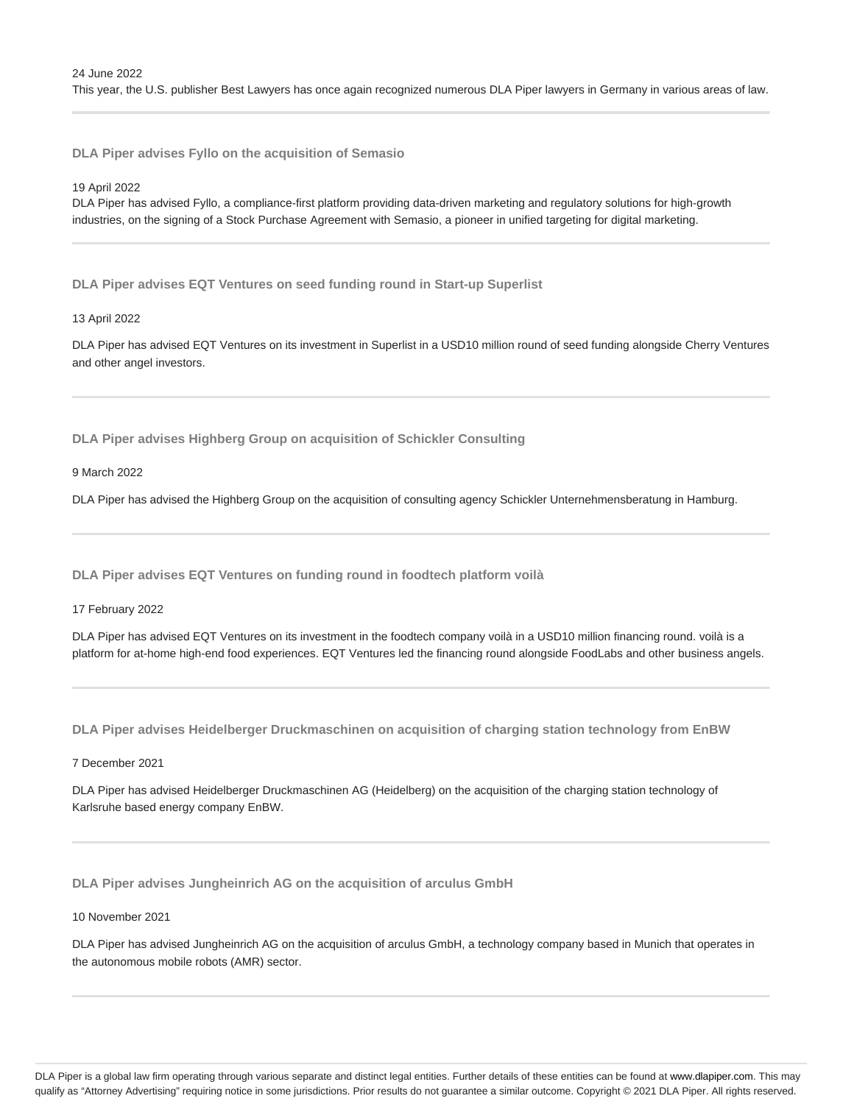**DLA Piper advises Fyllo on the acquisition of Semasio**

19 April 2022

DLA Piper has advised Fyllo, a compliance-first platform providing data-driven marketing and regulatory solutions for high-growth industries, on the signing of a Stock Purchase Agreement with Semasio, a pioneer in unified targeting for digital marketing.

**DLA Piper advises EQT Ventures on seed funding round in Start-up Superlist**

#### 13 April 2022

DLA Piper has advised EQT Ventures on its investment in Superlist in a USD10 million round of seed funding alongside Cherry Ventures and other angel investors.

**DLA Piper advises Highberg Group on acquisition of Schickler Consulting**

9 March 2022

DLA Piper has advised the Highberg Group on the acquisition of consulting agency Schickler Unternehmensberatung in Hamburg.

**DLA Piper advises EQT Ventures on funding round in foodtech platform voilà**

17 February 2022

DLA Piper has advised EQT Ventures on its investment in the foodtech company voilà in a USD10 million financing round. voilà is a platform for at-home high-end food experiences. EQT Ventures led the financing round alongside FoodLabs and other business angels.

**DLA Piper advises Heidelberger Druckmaschinen on acquisition of charging station technology from EnBW**

7 December 2021

DLA Piper has advised Heidelberger Druckmaschinen AG (Heidelberg) on the acquisition of the charging station technology of Karlsruhe based energy company EnBW.

**DLA Piper advises Jungheinrich AG on the acquisition of arculus GmbH**

10 November 2021

DLA Piper has advised Jungheinrich AG on the acquisition of arculus GmbH, a technology company based in Munich that operates in the autonomous mobile robots (AMR) sector.